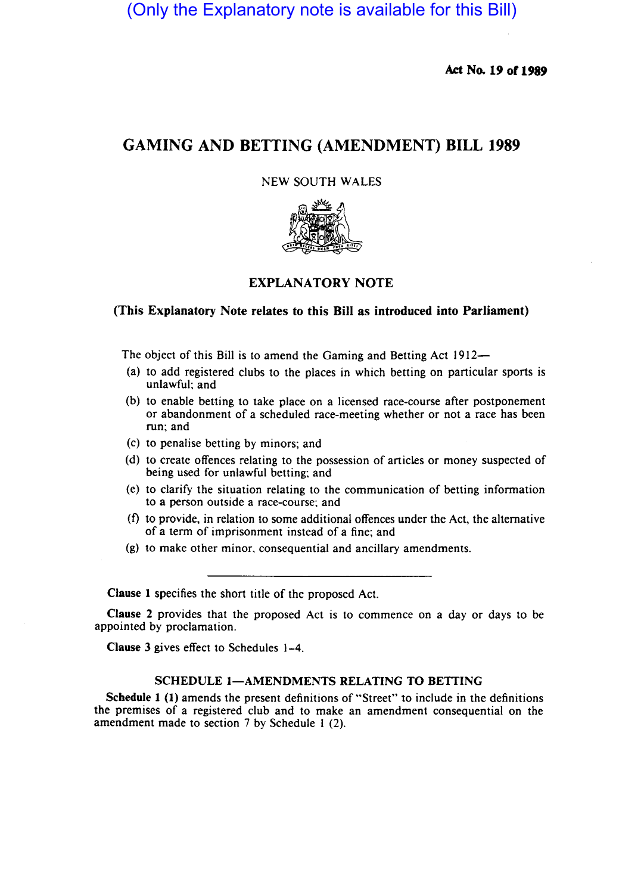(Only the Explanatory note is available for this Bill)

Act No. 19 of 1989

# GAMING AND BETTING (AMENDMENT) BILL 1989

## NEW SOUTH WALES



# EXPLANATORY NOTE

#### (This Explanatory Note relates to this Bill as introduced into Parliament)

The object of this Bill is to amend the Gaming and Betting Act 1912-

- (a) to add registered clubs to the places in which betting on particular sports is unlawful; and
- (b) to enable betting to take place on a licensed race-course after postponement or abandonment of a scheduled race-meeting whether or not a race has been run; and
- (c) to penalise betting by minors; and
- (d) to create offences relating to the possession of articles or money suspected of being used for unlawful betting; and
- (e) to clarify the situation relating to the communication of betting information to a person outside a race-course; and
- $(f)$  to provide, in relation to some additional offences under the Act, the alternative of a term of imprisonment instead of a fine; and
- (g) to make other minor, consequential and ancillary amendments.

Clause 1 specifies the short title of the proposed Act.

Clause 2 provides that the proposed Act is to commence on a day or days to be appointed by proclamation.

Clause 3 gives effect to Schedules 1-4.

## SCHEDULE 1-AMENDMENTS RELATING TO BETTING

Schedule 1 (1) amends the present definitions of "Street" to include in the definitions the premises of a registered club and to make an amendment consequential on the amendment made to section 7 by Schedule I (2).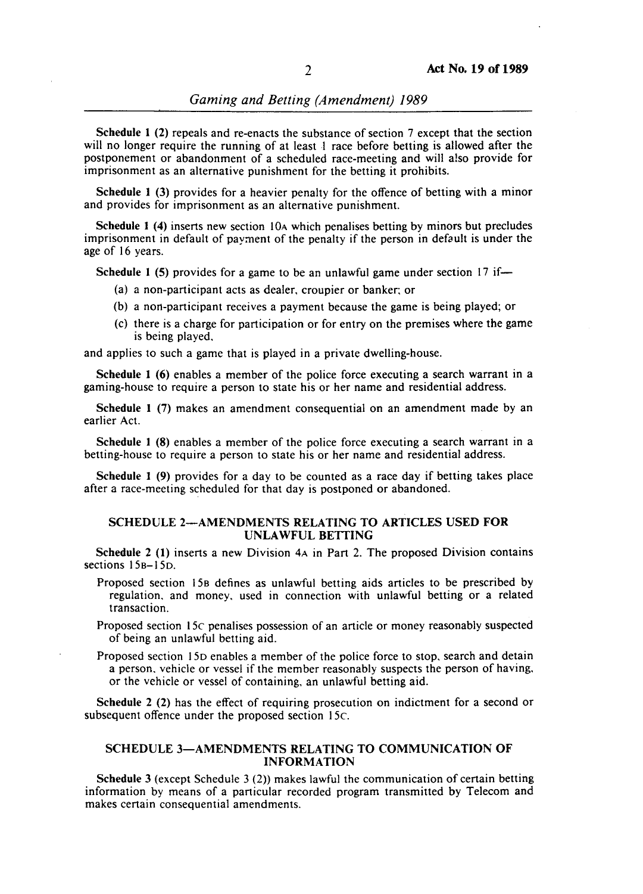Schedule 1 (2) repeals and re-enacts the substance of section 7 except that the section will no longer require the running of at least  $\pm$  race before betting is allowed after the postponement or abandonment of a scheduled race-meeting and will also provide for imprisonment as an alternative punishment for the betting it prohibits.

Schedule 1 (3) provides for a heavier penalty for the offence of betting with a minor and provides for imprisonment as an alternative punishment.

Schedule 1 (4) inserts new section 10<sub>A</sub> which penalises betting by minors but precludes imprisonment in default of payment of the penalty if the person in default is under the age of 16 years.

Schedule 1 (5) provides for a game to be an unlawful game under section 17 if-

- (a) a non-participant acts as dealer, croupier or banker; or
- (b) a non-participant receives a payment because the game is being played; or
- (c) there is a charge for participation or for entry on the premises where the game is being played,

and applies to such a game that is played in a private dwelling-house.

Schedule I (6) enables a member of the police force executing a search warrant in a gaming-house to require a person to state his or her name and residential address.

Schedule I (7) makes an amendment consequential on an amendment made by an earlier Act.

Schedule I (8) enables a member of the police force executing a search warrant in a betting-house to require a person to state his or her name and residential address.

Schedule I (9) provides for a day to be counted as a race day if betting takes place after a race-meeting scheduled for that day is postponed or abandoned.

### SCHEDULE 2-AMENDMENTS RELATING TO ARTICLES USED FOR UNLA WFUL BETTING

Schedule 2 (I) inserts a new Division 4A in Part 2. The proposed Division contains sections 15<sub>B</sub>-15<sub>D</sub>.

- Proposed section 158 defines as unlawful betting aids articles to be prescribed by regulation. and money, used in connection with unlawful betting or a related transaction.
- Proposed section 15c penalises possession of an article or money reasonably suspected of being an unlawful betting aid.
- Proposed section 15D enables a member of the police force to stop, search and detain a person. vehicle or vessel if the member reasonably suspects the person of having. or the vehicle or vessel of containing, an unlawful betting aid.

Schedule 2 (2) has the effect of requiring prosecution on indictment for a second or subsequent offence under the proposed section 15c.

#### SCHEDULE 3-AMENDMENTS RELATING TO COMMUNICATION OF INFORMATION

Schedule 3 (except Schedule 3  $(2)$ ) makes lawful the communication of certain betting information by means of a particular recorded program transmitted by Telecom and makes certain consequential amendments.